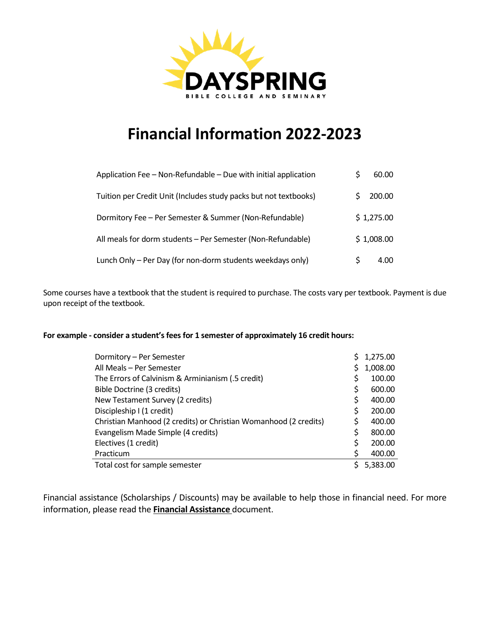

# **Financial Information 2022-2023**

| Application Fee – Non-Refundable – Due with initial application  | 60.00      |
|------------------------------------------------------------------|------------|
| Tuition per Credit Unit (Includes study packs but not textbooks) | 200.00     |
| Dormitory Fee - Per Semester & Summer (Non-Refundable)           | \$1,275.00 |
| All meals for dorm students - Per Semester (Non-Refundable)      | \$1,008.00 |
| Lunch Only – Per Day (for non-dorm students weekdays only)       | 4.00       |

Some courses have a textbook that the student is required to purchase. The costs vary per textbook. Payment is due upon receipt of the textbook.

#### **For example - consider a student's fees for 1 semester of approximately 16 credit hours:**

| Dormitory - Per Semester                                         |    | 1,275.00 |
|------------------------------------------------------------------|----|----------|
| All Meals - Per Semester                                         | S. | 1,008.00 |
| The Errors of Calvinism & Arminianism (.5 credit)                |    | 100.00   |
| Bible Doctrine (3 credits)                                       | S  | 600.00   |
| New Testament Survey (2 credits)                                 | \$ | 400.00   |
| Discipleship I (1 credit)                                        | \$ | 200.00   |
| Christian Manhood (2 credits) or Christian Womanhood (2 credits) | Ś  | 400.00   |
| Evangelism Made Simple (4 credits)                               | \$ | 800.00   |
| Electives (1 credit)                                             | Ś  | 200.00   |
| Practicum                                                        | \$ | 400.00   |
| Total cost for sample semester                                   | S  | 5,383.00 |

Financial assistance (Scholarships / Discounts) may be available to help those in financial need. For more information, please read the **Financial Assistance** document.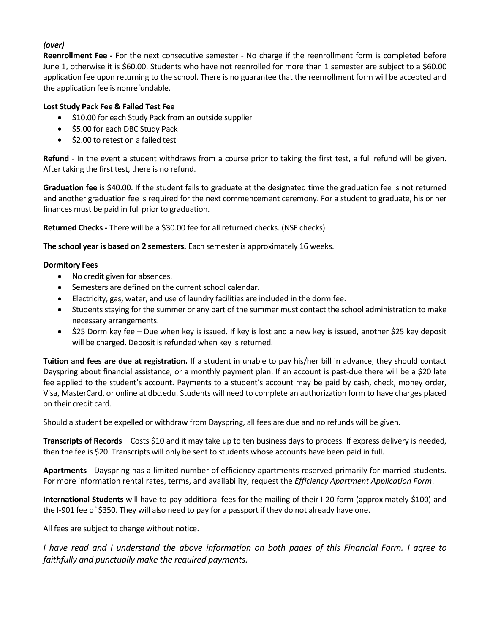## *(over)*

**Reenrollment Fee -** For the next consecutive semester - No charge if the reenrollment form is completed before June 1, otherwise it is \$60.00. Students who have not reenrolled for more than 1 semester are subject to a \$60.00 application fee upon returning to the school. There is no guarantee that the reenrollment form will be accepted and the application fee is nonrefundable.

### **Lost Study Pack Fee & Failed Test Fee**

- \$10.00 for each Study Pack from an outside supplier
- \$5.00 for each DBC Study Pack
- \$2.00 to retest on a failed test

**Refund** - In the event a student withdraws from a course prior to taking the first test, a full refund will be given. After taking the first test, there is no refund.

**Graduation fee** is \$40.00. If the student fails to graduate at the designated time the graduation fee is not returned and another graduation fee is required for the next commencement ceremony. For a student to graduate, his or her finances must be paid in full prior to graduation.

**Returned Checks -** There will be a \$30.00 fee for all returned checks. (NSF checks)

**The school year is based on 2 semesters.** Each semester is approximately 16 weeks.

## **Dormitory Fees**

- No credit given for absences.
- Semesters are defined on the current school calendar.
- Electricity, gas, water, and use of laundry facilities are included in the dorm fee.
- Students staying for the summer or any part of the summer must contact the school administration to make necessary arrangements.
- \$25 Dorm key fee Due when key is issued. If key is lost and a new key is issued, another \$25 key deposit will be charged. Deposit is refunded when key is returned.

**Tuition and fees are due at registration.** If a student in unable to pay his/her bill in advance, they should contact Dayspring about financial assistance, or a monthly payment plan. If an account is past-due there will be a \$20 late fee applied to the student's account. Payments to a student's account may be paid by cash, check, money order, Visa, MasterCard, or online at dbc.edu. Students will need to complete an authorization form to have charges placed on their credit card.

Should a student be expelled or withdraw from Dayspring, all fees are due and no refunds will be given.

**Transcripts of Records** – Costs \$10 and it may take up to ten business days to process. If express delivery is needed, then the fee is \$20. Transcripts will only be sent to students whose accounts have been paid in full.

**Apartments** - Dayspring has a limited number of efficiency apartments reserved primarily for married students. For more information rental rates, terms, and availability, request the *Efficiency Apartment Application Form*.

**International Students** will have to pay additional fees for the mailing of their I-20 form (approximately \$100) and the I-901 fee of \$350. They will also need to pay for a passport if they do not already have one.

All fees are subject to change without notice.

*I have read and I understand the above information on both pages of this Financial Form. I agree to faithfully and punctually make the required payments.*